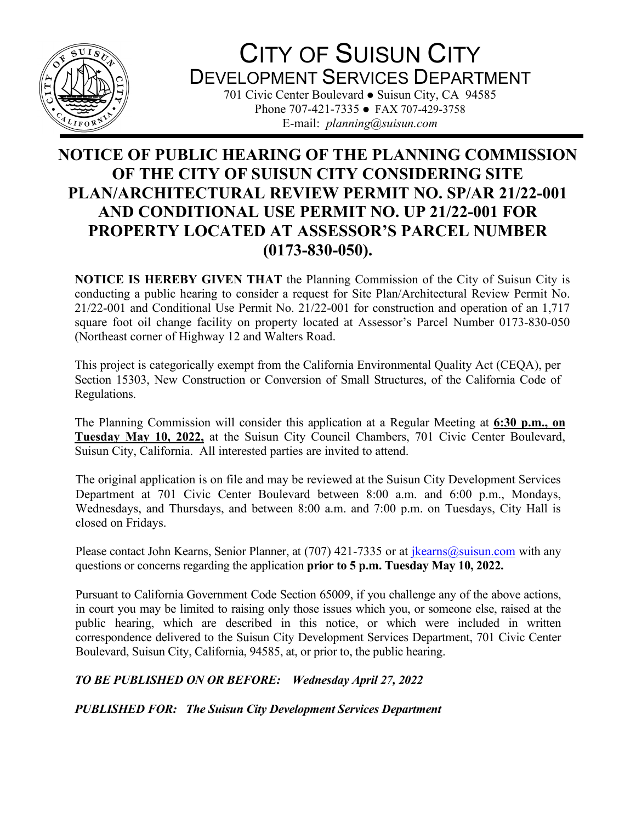

## CITY OF SUISUN CITY DEVELOPMENT SERVICES DEPARTMENT

701 Civic Center Boulevard • Suisun City, CA 94585 Phone 707-421-7335 • FAX 707-429-3758 E-mail: *planning@suisun.com*

## **NOTICE OF PUBLIC HEARING OF THE PLANNING COMMISSION OF THE CITY OF SUISUN CITY CONSIDERING SITE PLAN/ARCHITECTURAL REVIEW PERMIT NO. SP/AR 21/22-001 AND CONDITIONAL USE PERMIT NO. UP 21/22-001 FOR PROPERTY LOCATED AT ASSESSOR'S PARCEL NUMBER (0173-830-050).**

**NOTICE IS HEREBY GIVEN THAT** the Planning Commission of the City of Suisun City is conducting a public hearing to consider a request for Site Plan/Architectural Review Permit No. 21/22-001 and Conditional Use Permit No. 21/22-001 for construction and operation of an 1,717 square foot oil change facility on property located at Assessor's Parcel Number 0173-830-050 (Northeast corner of Highway 12 and Walters Road.

This project is categorically exempt from the California Environmental Quality Act (CEQA), per Section 15303, New Construction or Conversion of Small Structures, of the California Code of Regulations.

The Planning Commission will consider this application at a Regular Meeting at **6:30 p.m., on Tuesday May 10, 2022,** at the Suisun City Council Chambers, 701 Civic Center Boulevard, Suisun City, California. All interested parties are invited to attend.

The original application is on file and may be reviewed at the Suisun City Development Services Department at 701 Civic Center Boulevard between 8:00 a.m. and 6:00 p.m., Mondays, Wednesdays, and Thursdays, and between 8:00 a.m. and 7:00 p.m. on Tuesdays, City Hall is closed on Fridays.

Please contact John Kearns, Senior Planner, at (707) 421-7335 or at  $\frac{1}{kearns(0)}$  suisun.com with any questions or concerns regarding the application **prior to 5 p.m. Tuesday May 10, 2022.**

Pursuant to California Government Code Section 65009, if you challenge any of the above actions, in court you may be limited to raising only those issues which you, or someone else, raised at the public hearing, which are described in this notice, or which were included in written correspondence delivered to the Suisun City Development Services Department, 701 Civic Center Boulevard, Suisun City, California, 94585, at, or prior to, the public hearing.

## *TO BE PUBLISHED ON OR BEFORE: Wednesday April 27, 2022*

*PUBLISHED FOR: The Suisun City Development Services Department*